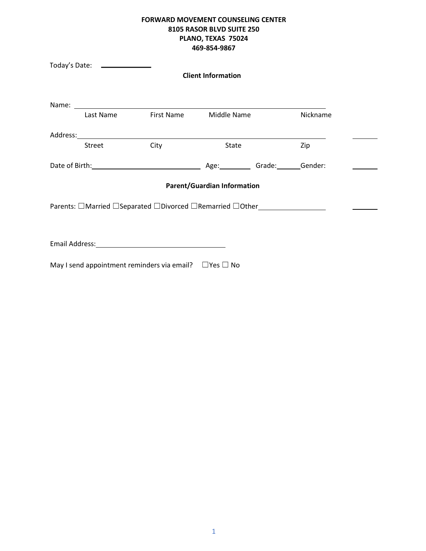|                                                                      | Today's Date: <u>______________________</u> |                                                                                               | <b>Client Information</b>          |  |          |  |
|----------------------------------------------------------------------|---------------------------------------------|-----------------------------------------------------------------------------------------------|------------------------------------|--|----------|--|
|                                                                      |                                             |                                                                                               |                                    |  |          |  |
|                                                                      | Last Name                                   | First Name                                                                                    | Middle Name                        |  | Nickname |  |
|                                                                      |                                             |                                                                                               |                                    |  |          |  |
|                                                                      | Street                                      | City                                                                                          | <b>State</b>                       |  | Zip      |  |
| Date of Birth: Cambridge Communication Age: Canade: Canade: Canader: |                                             |                                                                                               |                                    |  |          |  |
|                                                                      |                                             |                                                                                               | <b>Parent/Guardian Information</b> |  |          |  |
|                                                                      |                                             | Parents: $\Box$ Married $\Box$ Separated $\Box$ Divorced $\Box$ Remarried $\Box$ Other $\Box$ |                                    |  |          |  |
|                                                                      |                                             |                                                                                               |                                    |  |          |  |
|                                                                      |                                             | Email Address: No. 1998                                                                       |                                    |  |          |  |
|                                                                      |                                             | May I send appointment reminders via email? $\Box$ Yes $\Box$ No                              |                                    |  |          |  |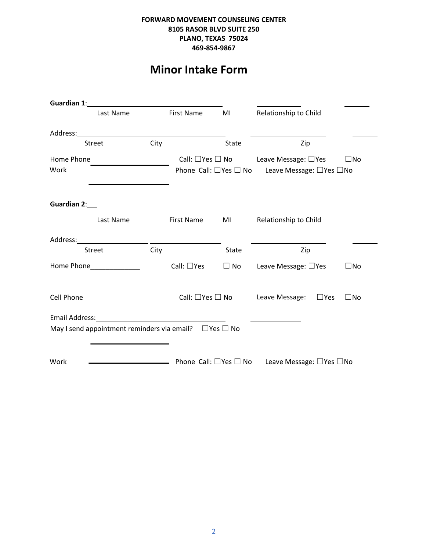# **Minor Intake Form**

|                | Guardian 1: San Albert and The Contract of the Contract of the Contract of the Contract of the Contract of the Contract of the Contract of the Contract of the Contract of the Contract of the Contract of the Contract of the |      |                  |              |                                                                                               |              |
|----------------|--------------------------------------------------------------------------------------------------------------------------------------------------------------------------------------------------------------------------------|------|------------------|--------------|-----------------------------------------------------------------------------------------------|--------------|
|                | Last Name                                                                                                                                                                                                                      |      | First Name MI    |              | Relationship to Child                                                                         |              |
|                |                                                                                                                                                                                                                                |      |                  |              |                                                                                               |              |
|                | Street                                                                                                                                                                                                                         | City |                  | State        | Zip                                                                                           |              |
|                |                                                                                                                                                                                                                                |      |                  |              | Home Phone $\qquad \qquad \qquad \qquad$ Call: $\Box$ Yes $\Box$ No Leave Message: $\Box$ Yes | $\square$ No |
| Work           |                                                                                                                                                                                                                                |      |                  |              | Phone Call: □Yes □ No Leave Message: □Yes □ No                                                |              |
| Guardian 2:___ |                                                                                                                                                                                                                                |      |                  |              |                                                                                               |              |
|                | Last Name                                                                                                                                                                                                                      |      | First Name MI    |              | Relationship to Child                                                                         |              |
|                |                                                                                                                                                                                                                                |      |                  |              |                                                                                               |              |
|                | Street                                                                                                                                                                                                                         | City |                  | <b>State</b> | Zip                                                                                           |              |
|                |                                                                                                                                                                                                                                |      | Call: $\Box$ Yes |              | $\Box$ No Leave Message: $\Box$ Yes                                                           | $\square$ No |
|                |                                                                                                                                                                                                                                |      |                  |              |                                                                                               | $\square$ No |
|                |                                                                                                                                                                                                                                |      |                  |              |                                                                                               |              |
|                | May I send appointment reminders via email? $\Box$ Yes $\Box$ No                                                                                                                                                               |      |                  |              |                                                                                               |              |
| Work           |                                                                                                                                                                                                                                |      |                  |              | <b>Example 2014</b> Phone Call: □Yes □ No Leave Message: □Yes □ No                            |              |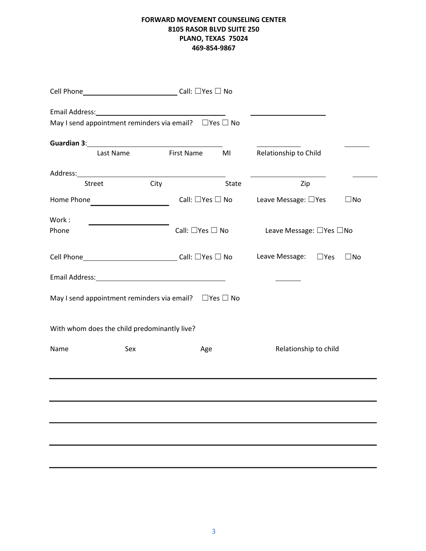| May I send appointment reminders via email? $\Box$ Yes $\Box$ No                                                                                                                                                                     |                                  |                                                      |                           |              |
|--------------------------------------------------------------------------------------------------------------------------------------------------------------------------------------------------------------------------------------|----------------------------------|------------------------------------------------------|---------------------------|--------------|
|                                                                                                                                                                                                                                      |                                  |                                                      |                           |              |
| Last Name                                                                                                                                                                                                                            | First Name MI                    |                                                      | Relationship to Child     |              |
|                                                                                                                                                                                                                                      |                                  |                                                      |                           |              |
| <b>City</b><br>Street                                                                                                                                                                                                                |                                  | State                                                | Zip                       |              |
|                                                                                                                                                                                                                                      |                                  | Call: $\Box$ Yes $\Box$ No Leave Message: $\Box$ Yes |                           | $\square$ No |
| Work:                                                                                                                                                                                                                                |                                  |                                                      |                           |              |
| Phone                                                                                                                                                                                                                                | Call: $\square$ Yes $\square$ No |                                                      | Leave Message: □ Yes □ No |              |
|                                                                                                                                                                                                                                      |                                  |                                                      | Leave Message: $\Box$ Yes | $\square$ No |
| Email Address: <u>and a series of the series of the series of the series of the series of the series of the series of the series of the series of the series of the series of the series of the series of the series of the seri</u> |                                  |                                                      |                           |              |
| May I send appointment reminders via email? $\Box$ Yes $\Box$ No                                                                                                                                                                     |                                  |                                                      |                           |              |
| With whom does the child predominantly live?                                                                                                                                                                                         |                                  |                                                      |                           |              |
| Name<br>Sex                                                                                                                                                                                                                          | Age                              |                                                      | Relationship to child     |              |
|                                                                                                                                                                                                                                      |                                  |                                                      |                           |              |
|                                                                                                                                                                                                                                      |                                  |                                                      |                           |              |
|                                                                                                                                                                                                                                      |                                  |                                                      |                           |              |
|                                                                                                                                                                                                                                      |                                  |                                                      |                           |              |
|                                                                                                                                                                                                                                      |                                  |                                                      |                           |              |
|                                                                                                                                                                                                                                      |                                  |                                                      |                           |              |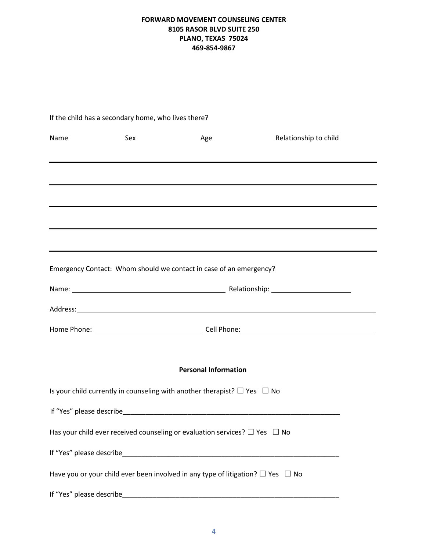|      | If the child has a secondary home, who lives there? |                                                                                                                |                                                                                                                                                                                                                                |
|------|-----------------------------------------------------|----------------------------------------------------------------------------------------------------------------|--------------------------------------------------------------------------------------------------------------------------------------------------------------------------------------------------------------------------------|
| Name | Sex                                                 | Age                                                                                                            | Relationship to child                                                                                                                                                                                                          |
|      |                                                     |                                                                                                                |                                                                                                                                                                                                                                |
|      |                                                     |                                                                                                                |                                                                                                                                                                                                                                |
|      |                                                     |                                                                                                                |                                                                                                                                                                                                                                |
|      |                                                     |                                                                                                                |                                                                                                                                                                                                                                |
|      |                                                     |                                                                                                                |                                                                                                                                                                                                                                |
|      |                                                     | Emergency Contact: Whom should we contact in case of an emergency?                                             |                                                                                                                                                                                                                                |
|      |                                                     |                                                                                                                |                                                                                                                                                                                                                                |
|      |                                                     |                                                                                                                | Address: Andreas Address: Address: Address: Address: Address: Address: Address: Address: Address: Address: Address: Address: Address: Address: Address: Address: Address: Address: Address: Address: Address: Address: Address |
|      |                                                     |                                                                                                                |                                                                                                                                                                                                                                |
|      |                                                     |                                                                                                                |                                                                                                                                                                                                                                |
|      |                                                     | <b>Personal Information</b>                                                                                    |                                                                                                                                                                                                                                |
|      |                                                     | Is your child currently in counseling with another therapist? $\Box$ Yes $\Box$ No                             |                                                                                                                                                                                                                                |
|      |                                                     | If "Yes" please describe and the state of the state of the state of the state of the state of the state of the |                                                                                                                                                                                                                                |
|      |                                                     | Has your child ever received counseling or evaluation services? $\Box$ Yes $\Box$ No                           |                                                                                                                                                                                                                                |
|      |                                                     |                                                                                                                |                                                                                                                                                                                                                                |
|      |                                                     | Have you or your child ever been involved in any type of litigation? $\Box$ Yes $\Box$ No                      |                                                                                                                                                                                                                                |
|      |                                                     |                                                                                                                |                                                                                                                                                                                                                                |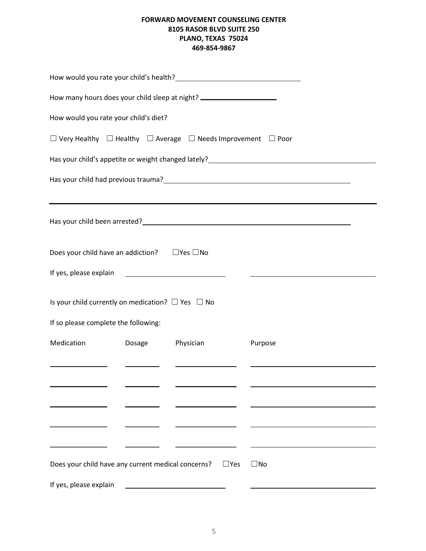|                                                                                                                                                                                                                               |                  | How many hours does your child sleep at night? _________________________________       |                                                                                                                                                                                                                                  |  |  |  |
|-------------------------------------------------------------------------------------------------------------------------------------------------------------------------------------------------------------------------------|------------------|----------------------------------------------------------------------------------------|----------------------------------------------------------------------------------------------------------------------------------------------------------------------------------------------------------------------------------|--|--|--|
| How would you rate your child's diet?                                                                                                                                                                                         |                  |                                                                                        |                                                                                                                                                                                                                                  |  |  |  |
|                                                                                                                                                                                                                               |                  | $\Box$ Very Healthy $\Box$ Healthy $\Box$ Average $\Box$ Needs Improvement $\Box$ Poor |                                                                                                                                                                                                                                  |  |  |  |
|                                                                                                                                                                                                                               |                  |                                                                                        | Has your child's appetite or weight changed lately? ____________________________                                                                                                                                                 |  |  |  |
|                                                                                                                                                                                                                               |                  |                                                                                        | Has your child had previous trauma?<br>and the manufacture of the manufacture of the manufacture of the manufacture of the manufacture of the manufacture of the manufacture of the manufacture of the manufacture of the manufa |  |  |  |
|                                                                                                                                                                                                                               |                  | ,我们也不会有什么。""我们的人,我们也不会有什么?""我们的人,我们也不会有什么?""我们的人,我们也不会有什么?""我们的人,我们也不会有什么?""我们的人       |                                                                                                                                                                                                                                  |  |  |  |
| Does your child have an addiction? $\Box$ Yes $\Box$ No                                                                                                                                                                       |                  |                                                                                        |                                                                                                                                                                                                                                  |  |  |  |
| If yes, please explain example and the set of the set of the set of the set of the set of the set of the set of the set of the set of the set of the set of the set of the set of the set of the set of the set of the set of |                  |                                                                                        |                                                                                                                                                                                                                                  |  |  |  |
| Is your child currently on medication? $\Box$ Yes $\Box$ No                                                                                                                                                                   |                  |                                                                                        |                                                                                                                                                                                                                                  |  |  |  |
| If so please complete the following:                                                                                                                                                                                          |                  |                                                                                        |                                                                                                                                                                                                                                  |  |  |  |
| Medication                                                                                                                                                                                                                    | Dosage Physician |                                                                                        | Purpose                                                                                                                                                                                                                          |  |  |  |
|                                                                                                                                                                                                                               |                  |                                                                                        |                                                                                                                                                                                                                                  |  |  |  |
|                                                                                                                                                                                                                               |                  |                                                                                        |                                                                                                                                                                                                                                  |  |  |  |
|                                                                                                                                                                                                                               |                  |                                                                                        |                                                                                                                                                                                                                                  |  |  |  |
|                                                                                                                                                                                                                               |                  |                                                                                        |                                                                                                                                                                                                                                  |  |  |  |
| Does your child have any current medical concerns?                                                                                                                                                                            |                  | $\Box$ Yes                                                                             | $\square$ No                                                                                                                                                                                                                     |  |  |  |
| If yes, please explain                                                                                                                                                                                                        |                  |                                                                                        |                                                                                                                                                                                                                                  |  |  |  |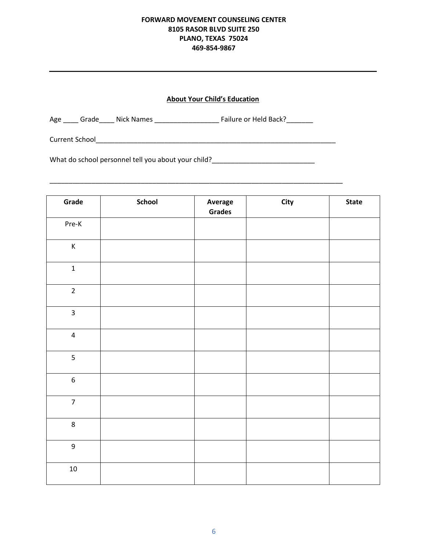## **About Your Child's Education**

Age \_\_\_\_\_ Grade\_\_\_\_\_ Nick Names \_\_\_\_\_\_\_\_\_\_\_\_\_\_\_\_\_\_\_\_\_\_ Failure or Held Back?\_\_\_\_\_\_\_\_

\_\_\_\_\_\_\_\_\_\_\_\_\_\_\_\_\_\_\_\_\_\_\_\_\_\_\_\_\_\_\_\_\_\_\_\_\_\_\_\_\_\_\_\_\_\_\_\_\_\_\_\_\_\_\_\_\_\_\_\_\_\_\_\_\_\_\_\_\_\_\_\_\_\_\_\_\_

Current School\_\_\_\_\_\_\_\_\_\_\_\_\_\_\_\_\_\_\_\_\_\_\_\_\_\_\_\_\_\_\_\_\_\_\_\_\_\_\_\_\_\_\_\_\_\_\_\_\_\_\_\_\_\_\_\_\_\_\_\_\_\_\_

What do school personnel tell you about your child?\_\_\_\_\_\_\_\_\_\_\_\_\_\_\_\_\_\_\_\_\_\_\_\_\_\_\_\_\_

| Grade                   | School | Average<br>Grades | <b>City</b> | <b>State</b> |
|-------------------------|--------|-------------------|-------------|--------------|
| Pre-K                   |        |                   |             |              |
| $\mathsf K$             |        |                   |             |              |
| $\mathbf 1$             |        |                   |             |              |
| $\overline{2}$          |        |                   |             |              |
| $\overline{\mathbf{3}}$ |        |                   |             |              |
| $\overline{4}$          |        |                   |             |              |
| 5                       |        |                   |             |              |
| $\sqrt{6}$              |        |                   |             |              |
| $\overline{7}$          |        |                   |             |              |
| $\,8\,$                 |        |                   |             |              |
| 9                       |        |                   |             |              |
| $10\,$                  |        |                   |             |              |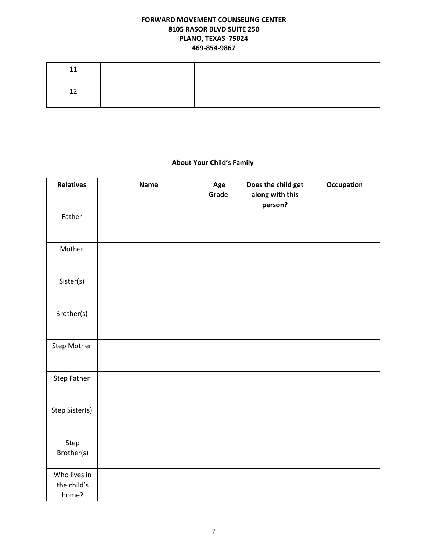# **About Your Child's Family**

| <b>Relatives</b>                     | <b>Name</b> | Age<br>Grade | Does the child get<br>along with this<br>person? | Occupation |
|--------------------------------------|-------------|--------------|--------------------------------------------------|------------|
| Father                               |             |              |                                                  |            |
| Mother                               |             |              |                                                  |            |
| Sister(s)                            |             |              |                                                  |            |
| Brother(s)                           |             |              |                                                  |            |
| Step Mother                          |             |              |                                                  |            |
| Step Father                          |             |              |                                                  |            |
| Step Sister(s)                       |             |              |                                                  |            |
| Step<br>Brother(s)                   |             |              |                                                  |            |
| Who lives in<br>the child's<br>home? |             |              |                                                  |            |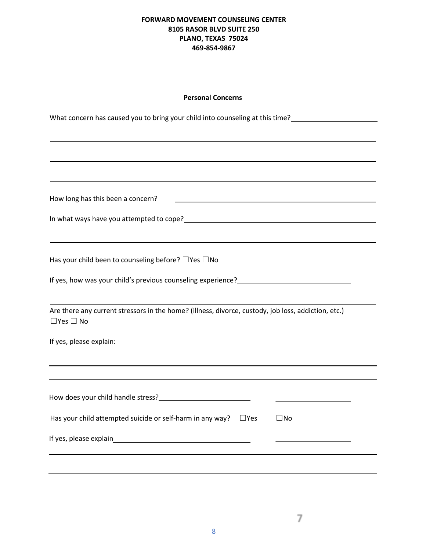#### **Personal Concerns**

| How long has this been a concern?<br><u> 1989 - Johann Harry Harry Harry Harry Harry Harry Harry Harry Harry Harry Harry Harry Harry Harry Harry Harry</u><br>Has your child been to counseling before? □ Yes □ No<br>If yes, how was your child's previous counseling experience?<br>If yes, how was your child's previous counseling experience?<br>Are there any current stressors in the home? (illness, divorce, custody, job loss, addiction, etc.)<br>$\Box$ Yes $\Box$ No<br>If yes, please explain:<br><u> The Communication of the Communication of the Communication of the Communication of the Communication of the Co</u><br><u> The Communication of the Communication</u> |
|-------------------------------------------------------------------------------------------------------------------------------------------------------------------------------------------------------------------------------------------------------------------------------------------------------------------------------------------------------------------------------------------------------------------------------------------------------------------------------------------------------------------------------------------------------------------------------------------------------------------------------------------------------------------------------------------|
|                                                                                                                                                                                                                                                                                                                                                                                                                                                                                                                                                                                                                                                                                           |
|                                                                                                                                                                                                                                                                                                                                                                                                                                                                                                                                                                                                                                                                                           |
|                                                                                                                                                                                                                                                                                                                                                                                                                                                                                                                                                                                                                                                                                           |
|                                                                                                                                                                                                                                                                                                                                                                                                                                                                                                                                                                                                                                                                                           |
|                                                                                                                                                                                                                                                                                                                                                                                                                                                                                                                                                                                                                                                                                           |
|                                                                                                                                                                                                                                                                                                                                                                                                                                                                                                                                                                                                                                                                                           |
|                                                                                                                                                                                                                                                                                                                                                                                                                                                                                                                                                                                                                                                                                           |
|                                                                                                                                                                                                                                                                                                                                                                                                                                                                                                                                                                                                                                                                                           |
|                                                                                                                                                                                                                                                                                                                                                                                                                                                                                                                                                                                                                                                                                           |
|                                                                                                                                                                                                                                                                                                                                                                                                                                                                                                                                                                                                                                                                                           |
|                                                                                                                                                                                                                                                                                                                                                                                                                                                                                                                                                                                                                                                                                           |
|                                                                                                                                                                                                                                                                                                                                                                                                                                                                                                                                                                                                                                                                                           |
|                                                                                                                                                                                                                                                                                                                                                                                                                                                                                                                                                                                                                                                                                           |
|                                                                                                                                                                                                                                                                                                                                                                                                                                                                                                                                                                                                                                                                                           |
|                                                                                                                                                                                                                                                                                                                                                                                                                                                                                                                                                                                                                                                                                           |
|                                                                                                                                                                                                                                                                                                                                                                                                                                                                                                                                                                                                                                                                                           |
|                                                                                                                                                                                                                                                                                                                                                                                                                                                                                                                                                                                                                                                                                           |
| Has your child attempted suicide or self-harm in any way? $\square$ Yes<br>$\square$ No                                                                                                                                                                                                                                                                                                                                                                                                                                                                                                                                                                                                   |
|                                                                                                                                                                                                                                                                                                                                                                                                                                                                                                                                                                                                                                                                                           |
|                                                                                                                                                                                                                                                                                                                                                                                                                                                                                                                                                                                                                                                                                           |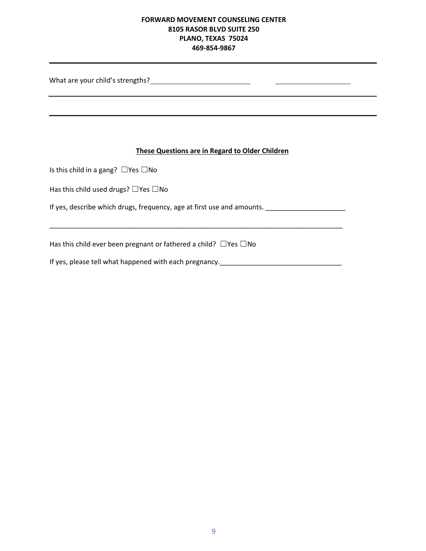What are your child's strengths?<br>
<u>
</u>

#### **These Questions are in Regard to Older Children**

Is this child in a gang? ☐Yes ☐No

Has this child used drugs? ☐Yes ☐No

If yes, describe which drugs, frequency, age at first use and amounts. \_\_\_\_\_\_\_\_\_\_\_\_\_\_\_\_\_\_\_\_\_

\_\_\_\_\_\_\_\_\_\_\_\_\_\_\_\_\_\_\_\_\_\_\_\_\_\_\_\_\_\_\_\_\_\_\_\_\_\_\_\_\_\_\_\_\_\_\_\_\_\_\_\_\_\_\_\_\_\_\_\_\_\_\_\_\_\_\_\_\_\_\_\_\_\_\_\_\_

Has this child ever been pregnant or fathered a child?  $\Box$ Yes  $\Box$ No

If yes, please tell what happened with each pregnancy.<br>
If yes, please tell what happened with each pregnancy.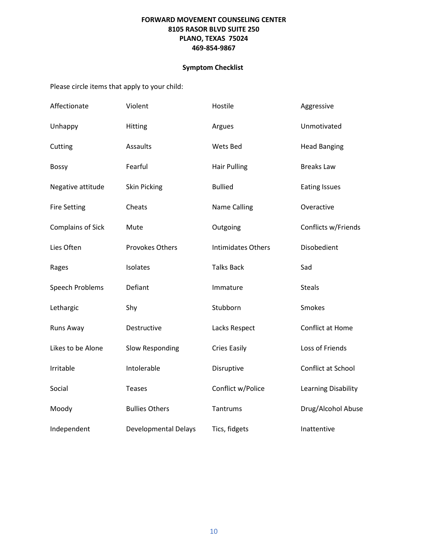# **Symptom Checklist**

Please circle items that apply to your child:

| Affectionate             | Violent                     | Hostile                   | Aggressive           |
|--------------------------|-----------------------------|---------------------------|----------------------|
| Unhappy                  | Hitting                     | Argues                    | Unmotivated          |
| Cutting                  | Assaults                    | Wets Bed                  | <b>Head Banging</b>  |
| <b>Bossy</b>             | Fearful                     | <b>Hair Pulling</b>       | <b>Breaks Law</b>    |
| Negative attitude        | <b>Skin Picking</b>         | <b>Bullied</b>            | <b>Eating Issues</b> |
| <b>Fire Setting</b>      | Cheats                      | <b>Name Calling</b>       | Overactive           |
| <b>Complains of Sick</b> | Mute                        | Outgoing                  | Conflicts w/Friends  |
| Lies Often               | <b>Provokes Others</b>      | <b>Intimidates Others</b> | Disobedient          |
| Rages                    | Isolates                    | <b>Talks Back</b>         | Sad                  |
| <b>Speech Problems</b>   | Defiant                     | Immature                  | <b>Steals</b>        |
| Lethargic                | Shy                         | Stubborn                  | Smokes               |
| Runs Away                | Destructive                 | Lacks Respect             | Conflict at Home     |
| Likes to be Alone        | Slow Responding             | <b>Cries Easily</b>       | Loss of Friends      |
| Irritable                | Intolerable                 | Disruptive                | Conflict at School   |
| Social                   | <b>Teases</b>               | Conflict w/Police         | Learning Disability  |
| Moody                    | <b>Bullies Others</b>       | Tantrums                  | Drug/Alcohol Abuse   |
| Independent              | <b>Developmental Delays</b> | Tics, fidgets             | Inattentive          |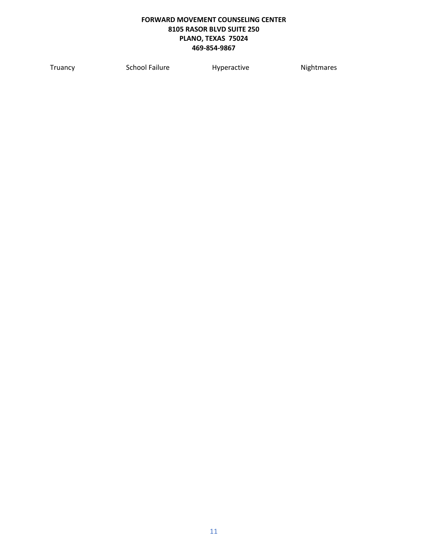Truancy School Failure Hyperactive Nightmares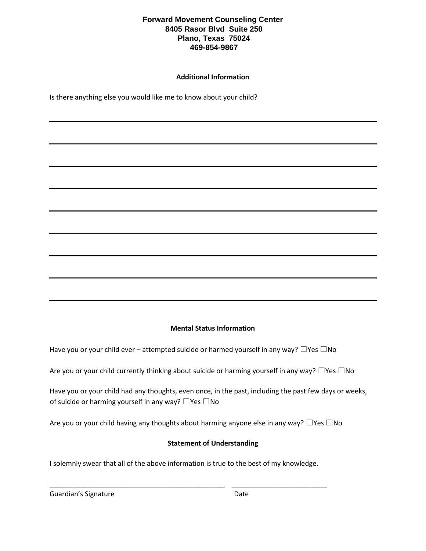# **Forward Movement Counseling Center 8405 Rasor Blvd Suite 250 Plano, Texas 75024 469-854-9867**

#### **Additional Information**

Is there anything else you would like me to know about your child?

#### **Mental Status Information**

Have you or your child ever – attempted suicide or harmed yourself in any way?  $\Box$ Yes  $\Box$ No

Are you or your child currently thinking about suicide or harming yourself in any way?  $\Box$ Yes  $\Box$ No

Have you or your child had any thoughts, even once, in the past, including the past few days or weeks, of suicide or harming yourself in any way? □Yes □No

Are you or your child having any thoughts about harming anyone else in any way?  $\Box$ Yes  $\Box$ No

#### **Statement of Understanding**

I solemnly swear that all of the above information is true to the best of my knowledge.

\_\_\_\_\_\_\_\_\_\_\_\_\_\_\_\_\_\_\_\_\_\_\_\_\_\_\_\_\_\_\_\_\_\_\_\_\_\_\_\_\_\_\_\_\_\_ \_\_\_\_\_\_\_\_\_\_\_\_\_\_\_\_\_\_\_\_\_\_\_\_\_

| Guardian's Signature | Date |
|----------------------|------|
|----------------------|------|